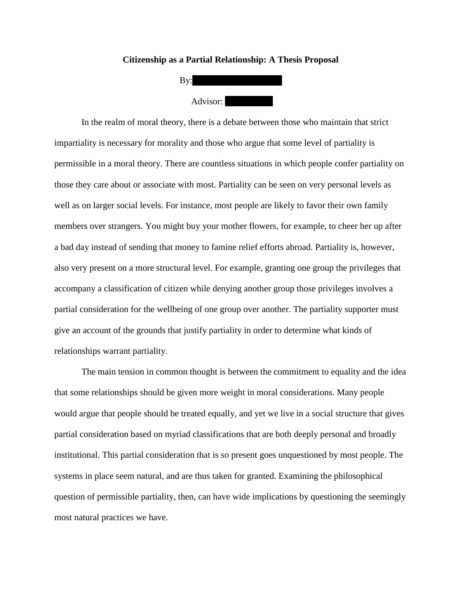## **Citizenship as a Partial Relationship: A Thesis Proposal**



In the realm of moral theory, there is a debate between those who maintain that strict impartiality is necessary for morality and those who argue that some level of partiality is permissible in a moral theory. There are countless situations in which people confer partiality on those they care about or associate with most. Partiality can be seen on very personal levels as well as on larger social levels. For instance, most people are likely to favor their own family members over strangers. You might buy your mother flowers, for example, to cheer her up after a bad day instead of sending that money to famine relief efforts abroad. Partiality is, however, also very present on a more structural level. For example, granting one group the privileges that accompany a classification of citizen while denying another group those privileges involves a partial consideration for the wellbeing of one group over another. The partiality supporter must give an account of the grounds that justify partiality in order to determine what kinds of relationships warrant partiality.

The main tension in common thought is between the commitment to equality and the idea that some relationships should be given more weight in moral considerations. Many people would argue that people should be treated equally, and yet we live in a social structure that gives partial consideration based on myriad classifications that are both deeply personal and broadly institutional. This partial consideration that is so present goes unquestioned by most people. The systems in place seem natural, and are thus taken for granted. Examining the philosophical question of permissible partiality, then, can have wide implications by questioning the seemingly most natural practices we have.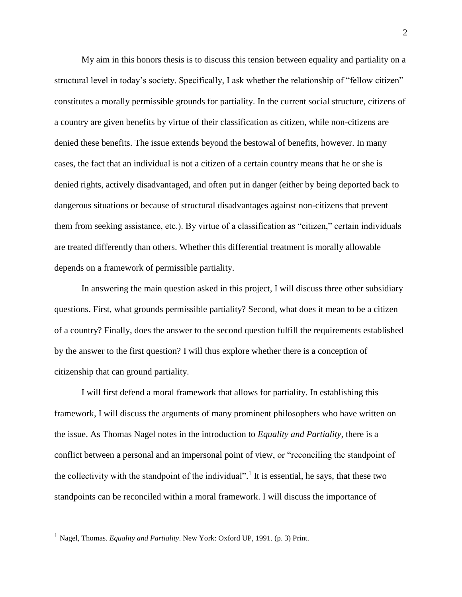My aim in this honors thesis is to discuss this tension between equality and partiality on a structural level in today's society. Specifically, I ask whether the relationship of "fellow citizen" constitutes a morally permissible grounds for partiality. In the current social structure, citizens of a country are given benefits by virtue of their classification as citizen, while non-citizens are denied these benefits. The issue extends beyond the bestowal of benefits, however. In many cases, the fact that an individual is not a citizen of a certain country means that he or she is denied rights, actively disadvantaged, and often put in danger (either by being deported back to dangerous situations or because of structural disadvantages against non-citizens that prevent them from seeking assistance, etc.). By virtue of a classification as "citizen," certain individuals are treated differently than others. Whether this differential treatment is morally allowable depends on a framework of permissible partiality.

In answering the main question asked in this project, I will discuss three other subsidiary questions. First, what grounds permissible partiality? Second, what does it mean to be a citizen of a country? Finally, does the answer to the second question fulfill the requirements established by the answer to the first question? I will thus explore whether there is a conception of citizenship that can ground partiality.

I will first defend a moral framework that allows for partiality. In establishing this framework, I will discuss the arguments of many prominent philosophers who have written on the issue. As Thomas Nagel notes in the introduction to *Equality and Partiality*, there is a conflict between a personal and an impersonal point of view, or "reconciling the standpoint of the collectivity with the standpoint of the individual".<sup>1</sup> It is essential, he says, that these two standpoints can be reconciled within a moral framework. I will discuss the importance of

 $\overline{a}$ 

<sup>1</sup> Nagel, Thomas. *Equality and Partiality*. New York: Oxford UP, 1991. (p. 3) Print.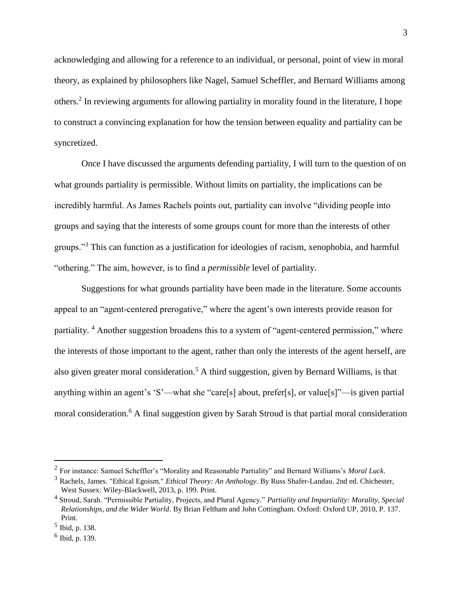acknowledging and allowing for a reference to an individual, or personal, point of view in moral theory, as explained by philosophers like Nagel, Samuel Scheffler, and Bernard Williams among others. 2 In reviewing arguments for allowing partiality in morality found in the literature, I hope to construct a convincing explanation for how the tension between equality and partiality can be syncretized.

Once I have discussed the arguments defending partiality, I will turn to the question of on what grounds partiality is permissible. Without limits on partiality, the implications can be incredibly harmful. As James Rachels points out, partiality can involve "dividing people into groups and saying that the interests of some groups count for more than the interests of other groups."<sup>3</sup> This can function as a justification for ideologies of racism, xenophobia, and harmful "othering." The aim, however, is to find a *permissible* level of partiality.

Suggestions for what grounds partiality have been made in the literature. Some accounts appeal to an "agent-centered prerogative," where the agent's own interests provide reason for partiality. <sup>4</sup> Another suggestion broadens this to a system of "agent-centered permission," where the interests of those important to the agent, rather than only the interests of the agent herself, are also given greater moral consideration.<sup>5</sup> A third suggestion, given by Bernard Williams, is that anything within an agent's 'S'—what she "care[s] about, prefer[s], or value[s]"—is given partial moral consideration.<sup>6</sup> A final suggestion given by Sarah Stroud is that partial moral consideration

 $\overline{a}$ 

<sup>2</sup> For instance: Samuel Scheffler's "Morality and Reasonable Partiality" and Bernard Williams's *Moral Luck*.

<sup>3</sup> Rachels, James. "Ethical Egoism." *Ethical Theory: An Anthology*. By Russ Shafer-Landau. 2nd ed. Chichester, West Sussex: Wiley-Blackwell, 2013, p. 199. Print.

<sup>4</sup> Stroud, Sarah. "Permissible Partiality, Projects, and Plural Agency." *Partiality and Impartiality: Morality, Special Relationships, and the Wider World*. By Brian Feltham and John Cottingham. Oxford: Oxford UP, 2010, P. 137. Print.

<sup>5</sup> Ibid, p. 138.

<sup>6</sup> Ibid, p. 139.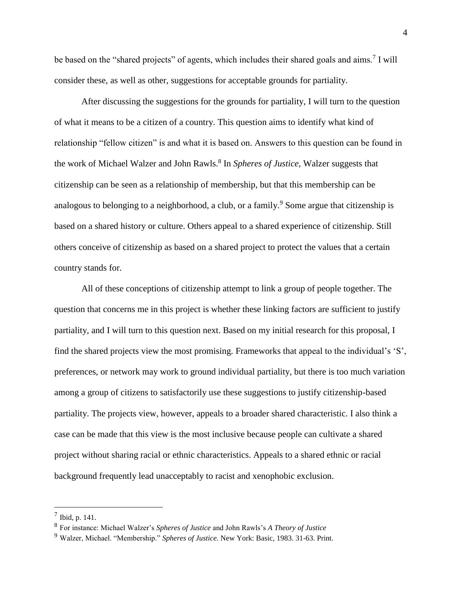be based on the "shared projects" of agents, which includes their shared goals and aims.<sup>7</sup> I will consider these, as well as other, suggestions for acceptable grounds for partiality.

After discussing the suggestions for the grounds for partiality, I will turn to the question of what it means to be a citizen of a country. This question aims to identify what kind of relationship "fellow citizen" is and what it is based on. Answers to this question can be found in the work of Michael Walzer and John Rawls.<sup>8</sup> In *Spheres of Justice*, Walzer suggests that citizenship can be seen as a relationship of membership, but that this membership can be analogous to belonging to a neighborhood, a club, or a family.<sup>9</sup> Some argue that citizenship is based on a shared history or culture. Others appeal to a shared experience of citizenship. Still others conceive of citizenship as based on a shared project to protect the values that a certain country stands for.

All of these conceptions of citizenship attempt to link a group of people together. The question that concerns me in this project is whether these linking factors are sufficient to justify partiality, and I will turn to this question next. Based on my initial research for this proposal, I find the shared projects view the most promising. Frameworks that appeal to the individual's 'S', preferences, or network may work to ground individual partiality, but there is too much variation among a group of citizens to satisfactorily use these suggestions to justify citizenship-based partiality. The projects view, however, appeals to a broader shared characteristic. I also think a case can be made that this view is the most inclusive because people can cultivate a shared project without sharing racial or ethnic characteristics. Appeals to a shared ethnic or racial background frequently lead unacceptably to racist and xenophobic exclusion.

 $\overline{a}$ 

 $^7$  Ibid, p. 141.

<sup>8</sup> For instance: Michael Walzer's *Spheres of Justice* and John Rawls's *A Theory of Justice*

<sup>9</sup> Walzer, Michael. "Membership." *Spheres of Justice.* New York: Basic, 1983. 31-63. Print.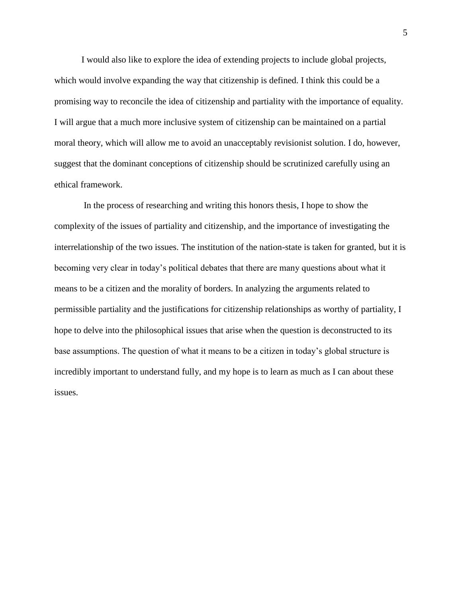I would also like to explore the idea of extending projects to include global projects, which would involve expanding the way that citizenship is defined. I think this could be a promising way to reconcile the idea of citizenship and partiality with the importance of equality. I will argue that a much more inclusive system of citizenship can be maintained on a partial moral theory, which will allow me to avoid an unacceptably revisionist solution. I do, however, suggest that the dominant conceptions of citizenship should be scrutinized carefully using an ethical framework.

In the process of researching and writing this honors thesis, I hope to show the complexity of the issues of partiality and citizenship, and the importance of investigating the interrelationship of the two issues. The institution of the nation-state is taken for granted, but it is becoming very clear in today's political debates that there are many questions about what it means to be a citizen and the morality of borders. In analyzing the arguments related to permissible partiality and the justifications for citizenship relationships as worthy of partiality, I hope to delve into the philosophical issues that arise when the question is deconstructed to its base assumptions. The question of what it means to be a citizen in today's global structure is incredibly important to understand fully, and my hope is to learn as much as I can about these issues.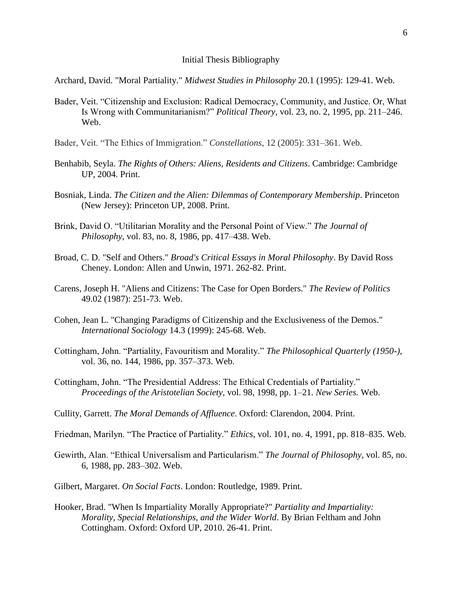## Initial Thesis Bibliography

Archard, David. "Moral Partiality." *Midwest Studies in Philosophy* 20.1 (1995): 129-41. Web.

- Bader, Veit. "Citizenship and Exclusion: Radical Democracy, Community, and Justice. Or, What Is Wrong with Communitarianism?" *Political Theory*, vol. 23, no. 2, 1995, pp. 211–246. Web.
- Bader, Veit. "The Ethics of Immigration." *Constellations*, 12 (2005): 331–361. Web.
- Benhabib, Seyla. *The Rights of Others: Aliens, Residents and Citizens*. Cambridge: Cambridge UP, 2004. Print.
- Bosniak, Linda. *The Citizen and the Alien: Dilemmas of Contemporary Membership*. Princeton (New Jersey): Princeton UP, 2008. Print.
- Brink, David O. "Utilitarian Morality and the Personal Point of View." *The Journal of Philosophy*, vol. 83, no. 8, 1986, pp. 417–438. Web.
- Broad, C. D. "Self and Others." *Broad's Critical Essays in Moral Philosophy*. By David Ross Cheney. London: Allen and Unwin, 1971. 262-82. Print.
- Carens, Joseph H. "Aliens and Citizens: The Case for Open Borders." *The Review of Politics* 49.02 (1987): 251-73. Web.
- Cohen, Jean L. "Changing Paradigms of Citizenship and the Exclusiveness of the Demos." *International Sociology* 14.3 (1999): 245-68. Web.
- Cottingham, John. "Partiality, Favouritism and Morality." *The Philosophical Quarterly (1950-)*, vol. 36, no. 144, 1986, pp. 357–373. Web.
- Cottingham, John. "The Presidential Address: The Ethical Credentials of Partiality." *Proceedings of the Aristotelian Society*, vol. 98, 1998, pp. 1–21. *New Series.* Web.
- Cullity, Garrett. *The Moral Demands of Affluence*. Oxford: Clarendon, 2004. Print.
- Friedman, Marilyn. "The Practice of Partiality." *Ethics*, vol. 101, no. 4, 1991, pp. 818–835. Web.
- Gewirth, Alan. "Ethical Universalism and Particularism." *The Journal of Philosophy*, vol. 85, no. 6, 1988, pp. 283–302. Web.
- Gilbert, Margaret. *On Social Facts*. London: Routledge, 1989. Print.
- Hooker, Brad. "When Is Impartiality Morally Appropriate?" *Partiality and Impartiality: Morality, Special Relationships, and the Wider World*. By Brian Feltham and John Cottingham. Oxford: Oxford UP, 2010. 26-41. Print.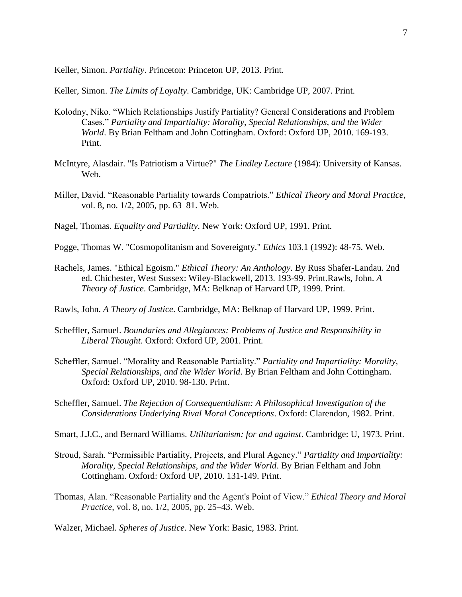Keller, Simon. *Partiality*. Princeton: Princeton UP, 2013. Print.

Keller, Simon. *The Limits of Loyalty*. Cambridge, UK: Cambridge UP, 2007. Print.

- Kolodny, Niko. "Which Relationships Justify Partiality? General Considerations and Problem Cases." *Partiality and Impartiality: Morality, Special Relationships, and the Wider World*. By Brian Feltham and John Cottingham. Oxford: Oxford UP, 2010. 169-193. Print.
- McIntyre, Alasdair. "Is Patriotism a Virtue?" *The Lindley Lecture* (1984): University of Kansas. Web.
- Miller, David. "Reasonable Partiality towards Compatriots." *Ethical Theory and Moral Practice*, vol. 8, no. 1/2, 2005, pp. 63–81. Web.
- Nagel, Thomas. *Equality and Partiality*. New York: Oxford UP, 1991. Print.
- Pogge, Thomas W. "Cosmopolitanism and Sovereignty." *Ethics* 103.1 (1992): 48-75. Web.
- Rachels, James. "Ethical Egoism." *Ethical Theory: An Anthology*. By Russ Shafer-Landau. 2nd ed. Chichester, West Sussex: Wiley-Blackwell, 2013. 193-99. Print.Rawls, John. *A Theory of Justice*. Cambridge, MA: Belknap of Harvard UP, 1999. Print.
- Rawls, John. *A Theory of Justice*. Cambridge, MA: Belknap of Harvard UP, 1999. Print.
- Scheffler, Samuel. *Boundaries and Allegiances: Problems of Justice and Responsibility in Liberal Thought*. Oxford: Oxford UP, 2001. Print.
- Scheffler, Samuel. "Morality and Reasonable Partiality." *Partiality and Impartiality: Morality, Special Relationships, and the Wider World*. By Brian Feltham and John Cottingham. Oxford: Oxford UP, 2010. 98-130. Print.
- Scheffler, Samuel. *The Rejection of Consequentialism: A Philosophical Investigation of the Considerations Underlying Rival Moral Conceptions*. Oxford: Clarendon, 1982. Print.
- Smart, J.J.C., and Bernard Williams. *Utilitarianism; for and against*. Cambridge: U, 1973. Print.
- Stroud, Sarah. "Permissible Partiality, Projects, and Plural Agency." *Partiality and Impartiality: Morality, Special Relationships, and the Wider World*. By Brian Feltham and John Cottingham. Oxford: Oxford UP, 2010. 131-149. Print.
- Thomas, Alan. "Reasonable Partiality and the Agent's Point of View." *Ethical Theory and Moral Practice*, vol. 8, no. 1/2, 2005, pp. 25–43. Web.

Walzer, Michael. *Spheres of Justice*. New York: Basic, 1983. Print.